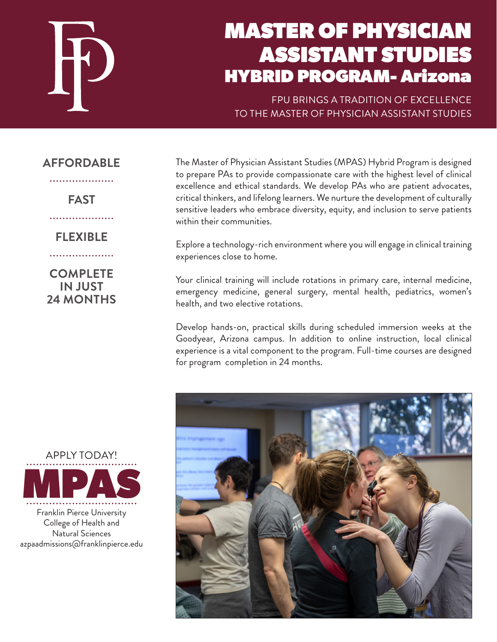

# MASTER OF PHYSICIAN ASSISTANT STUDIES HYBRID PROGRAM- Arizona

FPU BRINGS A TRADITION OF EXCELLENCE TO THE MASTER OF PHYSICIAN ASSISTANT STUDIES

## **AFFORDABLE**

. . . . . . . . . . . . . . . . .

**FAST**

. . . . . . . . . . . . . . . . . . .

**FLEXIBLE**

**COMPLETE IN JUST 24 MONTHS**

. . . . . . . . . . . . . . . . . experiences close to home. Your clinical training will include rotations in primary care, internal medicine, emergency medicine, general surgery, mental health, pediatrics, women's health, and two elective rotations.

within their communities.

Develop hands-on, practical skills during scheduled immersion weeks at the Goodyear, Arizona campus. In addition to online instruction, local clinical experience is a vital component to the program. Full-time courses are designed for program completion in 24 months.

The Master of Physician Assistant Studies (MPAS) Hybrid Program is designed to prepare PAs to provide compassionate care with the highest level of clinical excellence and ethical standards. We develop PAs who are patient advocates, critical thinkers, and lifelong learners. We nurture the development of culturally sensitive leaders who embrace diversity, equity, and inclusion to serve patients

Explore a technology-rich environment where you will engage in clinical training



APPLY TODAY! MPAS

Franklin Pierce University College of Health and Natural Sciences azpaadmissions@franklinpierce.edu